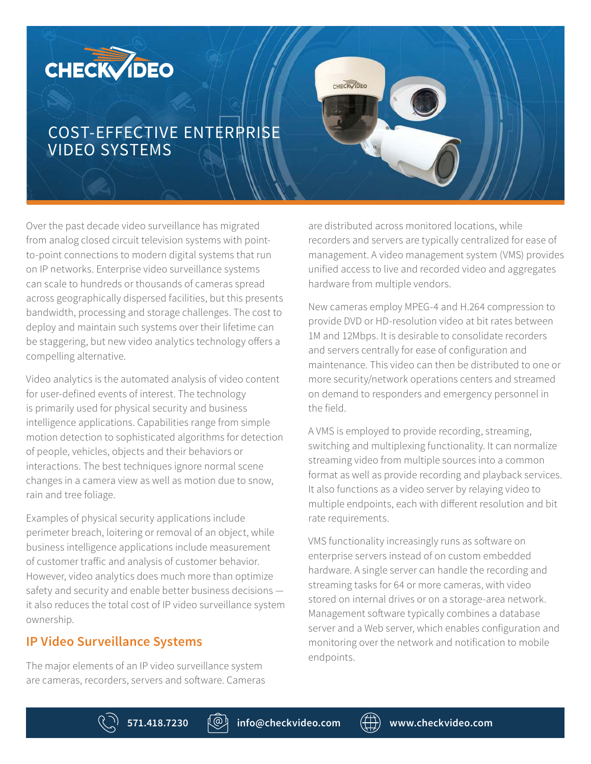# **CHECKVIDEO**

## COST-EFFECTIVE ENTERPRISE VIDEO SYSTEMS

Over the past decade video surveillance has migrated from analog closed circuit television systems with pointto-point connections to modern digital systems that run on IP networks. Enterprise video surveillance systems can scale to hundreds or thousands of cameras spread across geographically dispersed facilities, but this presents bandwidth, processing and storage challenges. The cost to deploy and maintain such systems over their lifetime can be staggering, but new video analytics technology offers a compelling alternative.

Video analytics is the automated analysis of video content for user-defined events of interest. The technology is primarily used for physical security and business intelligence applications. Capabilities range from simple motion detection to sophisticated algorithms for detection of people, vehicles, objects and their behaviors or interactions. The best techniques ignore normal scene changes in a camera view as well as motion due to snow, rain and tree foliage.

Examples of physical security applications include perimeter breach, loitering or removal of an object, while business intelligence applications include measurement of customer traffic and analysis of customer behavior. However, video analytics does much more than optimize safety and security and enable better business decisions it also reduces the total cost of IP video surveillance system ownership.

#### **IP Video Surveillance Systems**

The major elements of an IP video surveillance system are cameras, recorders, servers and software. Cameras

are distributed across monitored locations, while recorders and servers are typically centralized for ease of management. A video management system (VMS) provides unified access to live and recorded video and aggregates hardware from multiple vendors.

CHECKVIDEO

New cameras employ MPEG-4 and H.264 compression to provide DVD or HD-resolution video at bit rates between 1M and 12Mbps. It is desirable to consolidate recorders and servers centrally for ease of configuration and maintenance. This video can then be distributed to one or more security/network operations centers and streamed on demand to responders and emergency personnel in the field.

A VMS is employed to provide recording, streaming, switching and multiplexing functionality. It can normalize streaming video from multiple sources into a common format as well as provide recording and playback services. It also functions as a video server by relaying video to multiple endpoints, each with different resolution and bit rate requirements.

VMS functionality increasingly runs as software on enterprise servers instead of on custom embedded hardware. A single server can handle the recording and streaming tasks for 64 or more cameras, with video stored on internal drives or on a storage-area network. Management software typically combines a database server and a Web server, which enables configuration and monitoring over the network and notification to mobile endpoints.